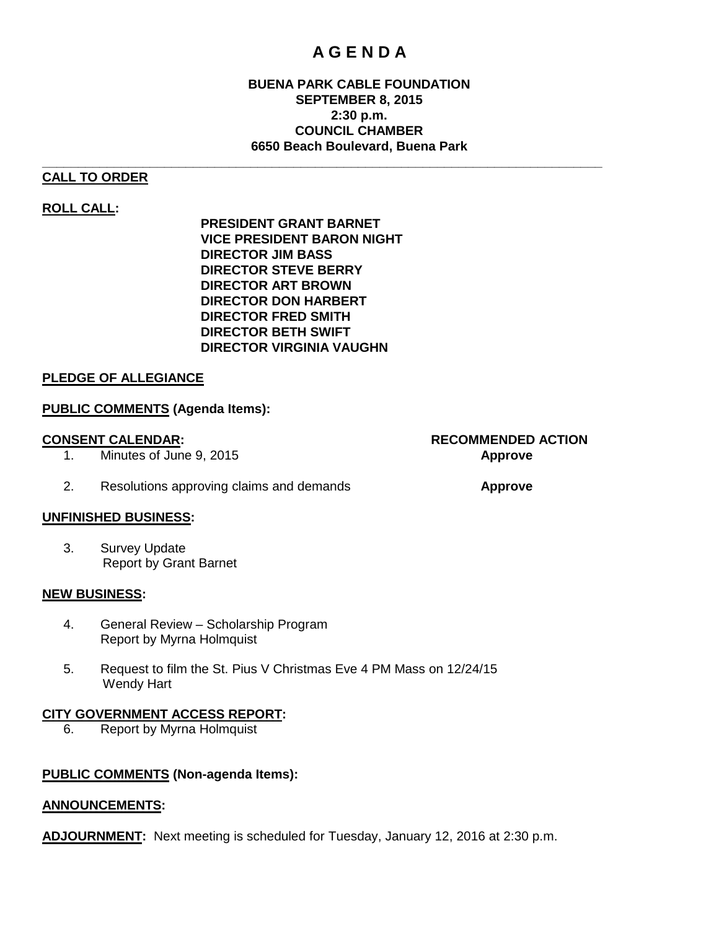## **A G E N D A**

#### **BUENA PARK CABLE FOUNDATION SEPTEMBER 8, 2015 2:30 p.m. COUNCIL CHAMBER 6650 Beach Boulevard, Buena Park**

#### **\_\_\_\_\_\_\_\_\_\_\_\_\_\_\_\_\_\_\_\_\_\_\_\_\_\_\_\_\_\_\_\_\_\_\_\_\_\_\_\_\_\_\_\_\_\_\_\_\_\_\_\_\_\_\_\_\_\_\_\_\_\_\_\_\_\_\_\_\_\_\_\_\_\_\_\_\_\_ CALL TO ORDER**

#### **ROLL CALL:**

**PRESIDENT GRANT BARNET VICE PRESIDENT BARON NIGHT DIRECTOR JIM BASS DIRECTOR STEVE BERRY DIRECTOR ART BROWN DIRECTOR DON HARBERT DIRECTOR FRED SMITH DIRECTOR BETH SWIFT DIRECTOR VIRGINIA VAUGHN**

#### **PLEDGE OF ALLEGIANCE**

#### **PUBLIC COMMENTS (Agenda Items):**

- 1. Minutes of June 9, 2015 **Approve**
- 2. Resolutions approving claims and demands **Approve**

#### **UNFINISHED BUSINESS:**

3. Survey Update Report by Grant Barnet

#### **NEW BUSINESS:**

- 4. General Review Scholarship Program Report by Myrna Holmquist
- 5. Request to film the St. Pius V Christmas Eve 4 PM Mass on 12/24/15 Wendy Hart

# **CITY GOVERNMENT ACCESS REPORT:**<br>6. Report by Myrna Holmquist

6. Report by Myrna Holmquist

#### **PUBLIC COMMENTS (Non-agenda Items):**

#### **ANNOUNCEMENTS:**

**ADJOURNMENT:** Next meeting is scheduled for Tuesday, January 12, 2016 at 2:30 p.m.

**CONSENT CALENDAR: RECOMMENDED ACTION**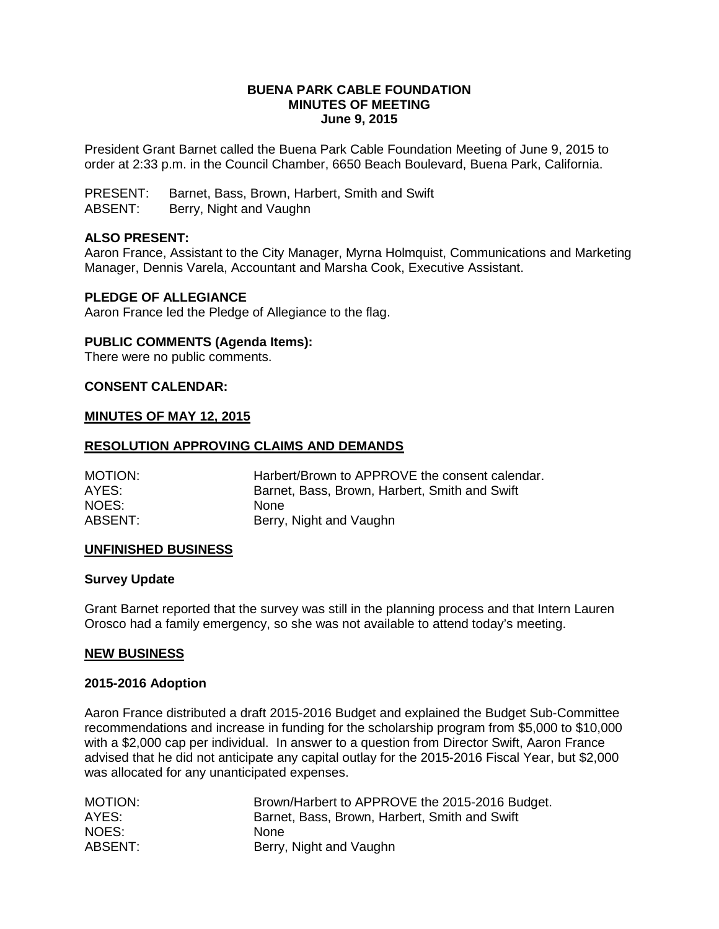#### **BUENA PARK CABLE FOUNDATION MINUTES OF MEETING June 9, 2015**

President Grant Barnet called the Buena Park Cable Foundation Meeting of June 9, 2015 to order at 2:33 p.m. in the Council Chamber, 6650 Beach Boulevard, Buena Park, California.

PRESENT: Barnet, Bass, Brown, Harbert, Smith and Swift

ABSENT: Berry, Night and Vaughn

#### **ALSO PRESENT:**

Aaron France, Assistant to the City Manager, Myrna Holmquist, Communications and Marketing Manager, Dennis Varela, Accountant and Marsha Cook, Executive Assistant.

#### **PLEDGE OF ALLEGIANCE**

Aaron France led the Pledge of Allegiance to the flag.

### **PUBLIC COMMENTS (Agenda Items):**

There were no public comments.

#### **CONSENT CALENDAR:**

#### **MINUTES OF MAY 12, 2015**

#### **RESOLUTION APPROVING CLAIMS AND DEMANDS**

| MOTION: | Harbert/Brown to APPROVE the consent calendar. |
|---------|------------------------------------------------|
| AYES:   | Barnet, Bass, Brown, Harbert, Smith and Swift  |
| NOES: I | <b>None</b>                                    |
| ABSENT: | Berry, Night and Vaughn                        |

#### **UNFINISHED BUSINESS**

#### **Survey Update**

Grant Barnet reported that the survey was still in the planning process and that Intern Lauren Orosco had a family emergency, so she was not available to attend today's meeting.

#### **NEW BUSINESS**

#### **2015-2016 Adoption**

Aaron France distributed a draft 2015-2016 Budget and explained the Budget Sub-Committee recommendations and increase in funding for the scholarship program from \$5,000 to \$10,000 with a \$2,000 cap per individual. In answer to a question from Director Swift, Aaron France advised that he did not anticipate any capital outlay for the 2015-2016 Fiscal Year, but \$2,000 was allocated for any unanticipated expenses.

| MOTION: | Brown/Harbert to APPROVE the 2015-2016 Budget. |
|---------|------------------------------------------------|
| AYES:   | Barnet, Bass, Brown, Harbert, Smith and Swift  |
| NOES:   | None                                           |
| ABSENT: | Berry, Night and Vaughn                        |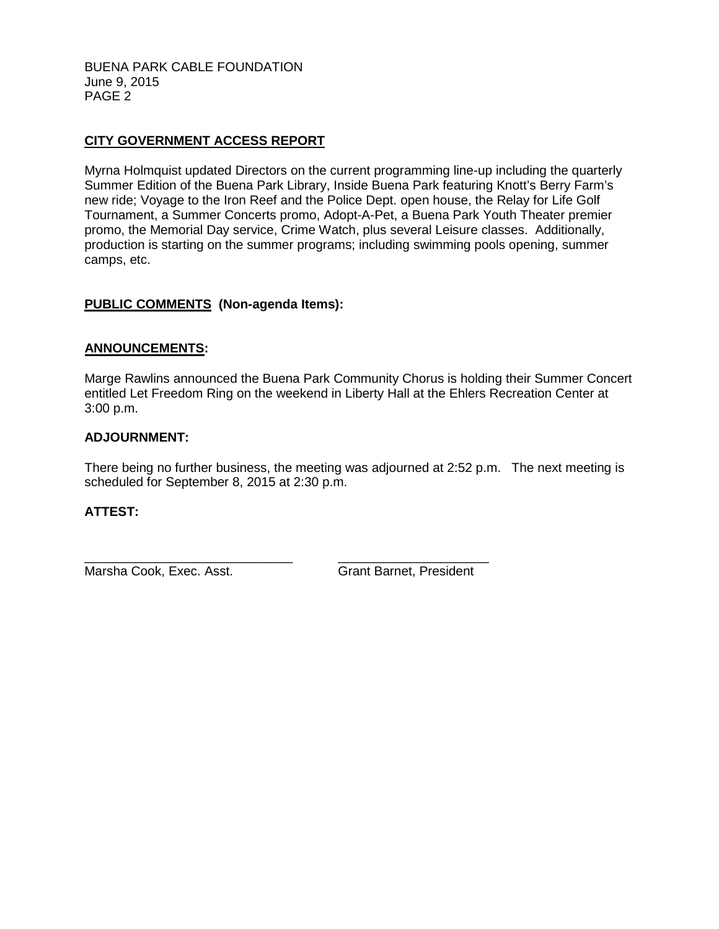BUENA PARK CABLE FOUNDATION June 9, 2015 PAGE 2

### **CITY GOVERNMENT ACCESS REPORT**

Myrna Holmquist updated Directors on the current programming line-up including the quarterly Summer Edition of the Buena Park Library, Inside Buena Park featuring Knott's Berry Farm's new ride; Voyage to the Iron Reef and the Police Dept. open house, the Relay for Life Golf Tournament, a Summer Concerts promo, Adopt-A-Pet, a Buena Park Youth Theater premier promo, the Memorial Day service, Crime Watch, plus several Leisure classes. Additionally, production is starting on the summer programs; including swimming pools opening, summer camps, etc.

#### **PUBLIC COMMENTS (Non-agenda Items):**

#### **ANNOUNCEMENTS:**

Marge Rawlins announced the Buena Park Community Chorus is holding their Summer Concert entitled Let Freedom Ring on the weekend in Liberty Hall at the Ehlers Recreation Center at 3:00 p.m.

#### **ADJOURNMENT:**

There being no further business, the meeting was adjourned at 2:52 p.m. The next meeting is scheduled for September 8, 2015 at 2:30 p.m.

#### **ATTEST:**

\_\_\_\_\_\_\_\_\_\_\_\_\_\_\_\_\_\_\_\_\_\_\_\_\_\_\_\_\_ \_\_\_\_\_\_\_\_\_\_\_\_\_\_\_\_\_\_\_\_\_ Marsha Cook, Exec. Asst. Grant Barnet, President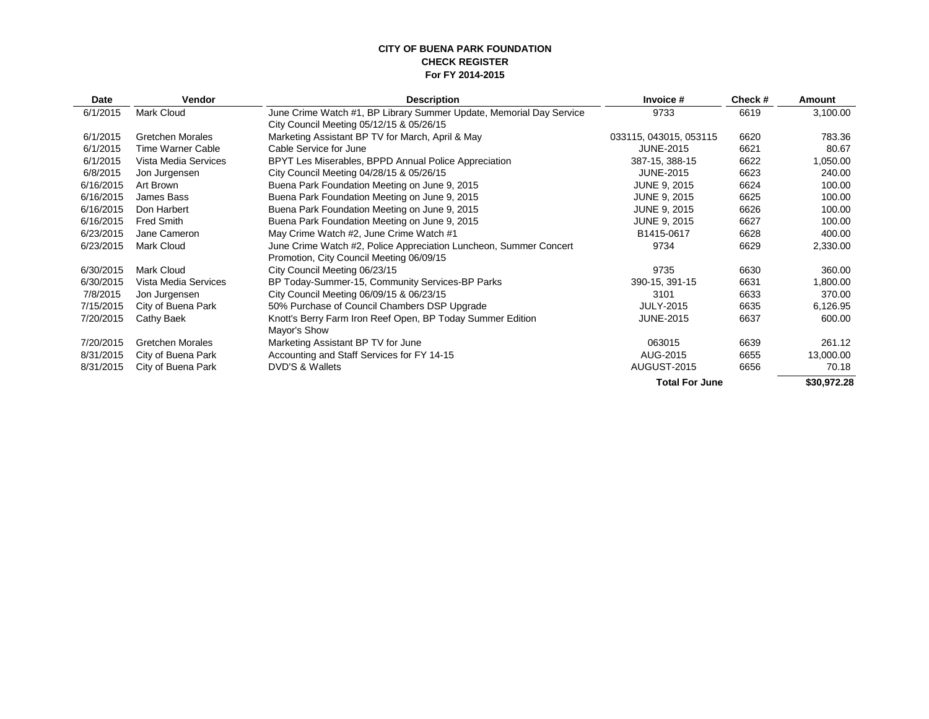#### **CITY OF BUENA PARK FOUNDATION CHECK REGISTER For FY 2014-2015**

| Date      | <b>Vendor</b>           | <b>Description</b>                                                          | Invoice #              | Check# | Amount      |
|-----------|-------------------------|-----------------------------------------------------------------------------|------------------------|--------|-------------|
| 6/1/2015  | Mark Cloud              | June Crime Watch #1, BP Library Summer Update, Memorial Day Service<br>9733 |                        | 6619   | 3,100.00    |
|           |                         | City Council Meeting 05/12/15 & 05/26/15                                    |                        |        |             |
| 6/1/2015  | <b>Gretchen Morales</b> | Marketing Assistant BP TV for March, April & May                            | 033115, 043015, 053115 | 6620   | 783.36      |
| 6/1/2015  | Time Warner Cable       | Cable Service for June                                                      | <b>JUNE-2015</b>       | 6621   | 80.67       |
| 6/1/2015  | Vista Media Services    | BPYT Les Miserables, BPPD Annual Police Appreciation                        | 387-15, 388-15         | 6622   | 1,050.00    |
| 6/8/2015  | Jon Jurgensen           | City Council Meeting 04/28/15 & 05/26/15                                    | <b>JUNE-2015</b>       | 6623   | 240.00      |
| 6/16/2015 | Art Brown               | Buena Park Foundation Meeting on June 9, 2015                               | <b>JUNE 9, 2015</b>    | 6624   | 100.00      |
| 6/16/2015 | James Bass              | Buena Park Foundation Meeting on June 9, 2015                               | <b>JUNE 9, 2015</b>    | 6625   | 100.00      |
| 6/16/2015 | Don Harbert             | Buena Park Foundation Meeting on June 9, 2015                               | <b>JUNE 9, 2015</b>    | 6626   | 100.00      |
| 6/16/2015 | <b>Fred Smith</b>       | Buena Park Foundation Meeting on June 9, 2015                               | <b>JUNE 9, 2015</b>    | 6627   | 100.00      |
| 6/23/2015 | Jane Cameron            | May Crime Watch #2, June Crime Watch #1                                     | B1415-0617             | 6628   | 400.00      |
| 6/23/2015 | Mark Cloud              | June Crime Watch #2, Police Appreciation Luncheon, Summer Concert<br>9734   |                        | 6629   | 2,330.00    |
|           |                         | Promotion, City Council Meeting 06/09/15                                    |                        |        |             |
| 6/30/2015 | Mark Cloud              | City Council Meeting 06/23/15                                               | 9735                   | 6630   | 360.00      |
| 6/30/2015 | Vista Media Services    | BP Today-Summer-15, Community Services-BP Parks                             | 390-15, 391-15         | 6631   | 1,800.00    |
| 7/8/2015  | Jon Jurgensen           | City Council Meeting 06/09/15 & 06/23/15                                    | 3101                   | 6633   | 370.00      |
| 7/15/2015 | City of Buena Park      | 50% Purchase of Council Chambers DSP Upgrade<br><b>JULY-2015</b>            |                        | 6635   | 6,126.95    |
| 7/20/2015 | Cathy Baek              | Knott's Berry Farm Iron Reef Open, BP Today Summer Edition                  | <b>JUNE-2015</b>       |        |             |
|           |                         | Mayor's Show                                                                |                        |        |             |
| 7/20/2015 | <b>Gretchen Morales</b> | Marketing Assistant BP TV for June                                          | 063015                 | 6639   | 261.12      |
| 8/31/2015 | City of Buena Park      | Accounting and Staff Services for FY 14-15<br>AUG-2015                      |                        | 6655   | 13,000.00   |
| 8/31/2015 | City of Buena Park      | DVD'S & Wallets                                                             | AUGUST-2015            |        | 70.18       |
|           |                         |                                                                             | <b>Total For June</b>  |        | \$30,972.28 |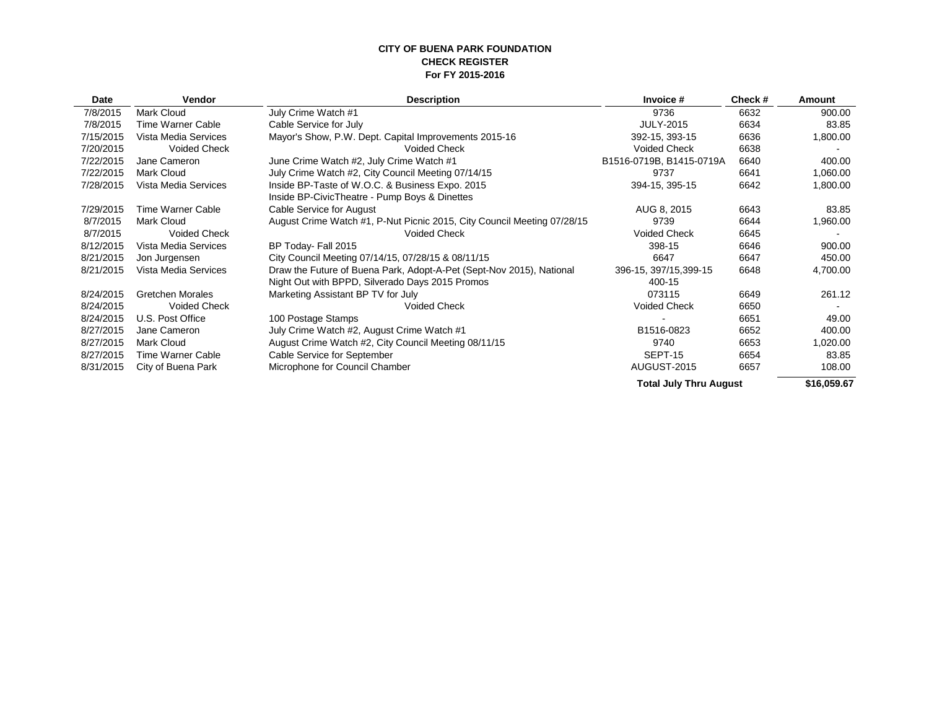#### **CITY OF BUENA PARK FOUNDATION CHECK REGISTER For FY 2015-2016**

| Date      | Vendor                  | <b>Description</b>                                                      | Invoice #                     | Check# | Amount      |  |
|-----------|-------------------------|-------------------------------------------------------------------------|-------------------------------|--------|-------------|--|
| 7/8/2015  | Mark Cloud              | July Crime Watch #1                                                     | 9736                          | 6632   | 900.00      |  |
| 7/8/2015  | Time Warner Cable       | Cable Service for July                                                  | <b>JULY-2015</b>              | 6634   | 83.85       |  |
| 7/15/2015 | Vista Media Services    | Mayor's Show, P.W. Dept. Capital Improvements 2015-16                   | 392-15, 393-15                | 6636   | 1,800.00    |  |
| 7/20/2015 | <b>Voided Check</b>     | <b>Voided Check</b>                                                     | <b>Voided Check</b>           | 6638   |             |  |
| 7/22/2015 | Jane Cameron            | June Crime Watch #2, July Crime Watch #1                                | B1516-0719B, B1415-0719A      | 6640   | 400.00      |  |
| 7/22/2015 | Mark Cloud              | July Crime Watch #2, City Council Meeting 07/14/15                      | 9737                          | 6641   | 1,060.00    |  |
| 7/28/2015 | Vista Media Services    | Inside BP-Taste of W.O.C. & Business Expo. 2015                         | 394-15, 395-15                | 6642   | 1,800.00    |  |
|           |                         | Inside BP-CivicTheatre - Pump Boys & Dinettes                           |                               |        |             |  |
| 7/29/2015 | Time Warner Cable       | Cable Service for August                                                | AUG 8, 2015                   | 6643   | 83.85       |  |
| 8/7/2015  | Mark Cloud              | August Crime Watch #1, P-Nut Picnic 2015, City Council Meeting 07/28/15 | 9739                          | 6644   | 1,960.00    |  |
| 8/7/2015  | <b>Voided Check</b>     | <b>Voided Check</b>                                                     | <b>Voided Check</b>           | 6645   |             |  |
| 8/12/2015 | Vista Media Services    | BP Today- Fall 2015                                                     | 398-15                        | 6646   | 900.00      |  |
| 8/21/2015 | Jon Jurgensen           | City Council Meeting 07/14/15, 07/28/15 & 08/11/15                      | 6647                          | 6647   | 450.00      |  |
| 8/21/2015 | Vista Media Services    | Draw the Future of Buena Park, Adopt-A-Pet (Sept-Nov 2015), National    | 396-15, 397/15, 399-15        | 6648   | 4,700.00    |  |
|           |                         | Night Out with BPPD, Silverado Days 2015 Promos                         | 400-15                        |        |             |  |
| 8/24/2015 | <b>Gretchen Morales</b> | Marketing Assistant BP TV for July                                      | 073115                        | 6649   | 261.12      |  |
| 8/24/2015 | <b>Voided Check</b>     | <b>Voided Check</b>                                                     | <b>Voided Check</b>           | 6650   |             |  |
| 8/24/2015 | U.S. Post Office        | 100 Postage Stamps                                                      |                               | 6651   | 49.00       |  |
| 8/27/2015 | Jane Cameron            | July Crime Watch #2, August Crime Watch #1                              | B1516-0823                    | 6652   | 400.00      |  |
| 8/27/2015 | Mark Cloud              | August Crime Watch #2, City Council Meeting 08/11/15                    | 9740                          | 6653   | 1,020.00    |  |
| 8/27/2015 | Time Warner Cable       | Cable Service for September                                             | SEPT-15                       | 6654   | 83.85       |  |
| 8/31/2015 | City of Buena Park      | Microphone for Council Chamber                                          | AUGUST-2015                   | 6657   | 108.00      |  |
|           |                         |                                                                         | <b>Total July Thru August</b> |        | \$16,059.67 |  |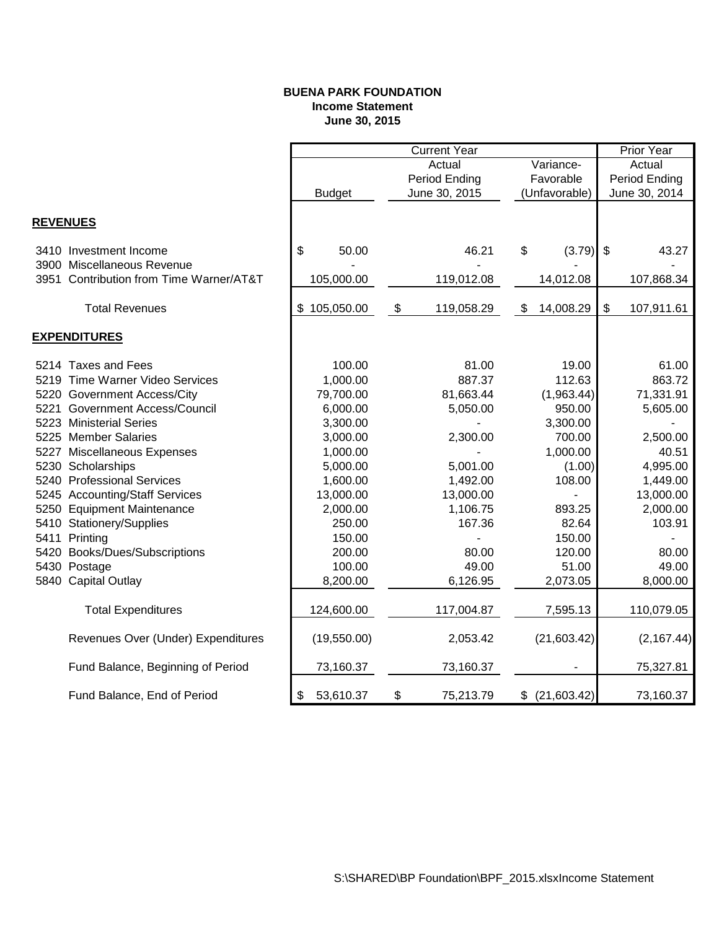#### **BUENA PARK FOUNDATION Income Statement June 30, 2015**

|                 |                                         | <b>Current Year</b> |    |               |               |                 |               | <b>Prior Year</b> |  |
|-----------------|-----------------------------------------|---------------------|----|---------------|---------------|-----------------|---------------|-------------------|--|
|                 |                                         | Variance-<br>Actual |    |               | Actual        |                 |               |                   |  |
|                 |                                         | Period Ending       |    |               | Favorable     |                 | Period Ending |                   |  |
|                 |                                         | <b>Budget</b>       |    | June 30, 2015 | (Unfavorable) |                 | June 30, 2014 |                   |  |
| <b>REVENUES</b> |                                         |                     |    |               |               |                 |               |                   |  |
|                 | 3410 Investment Income                  | \$<br>50.00         |    | 46.21         | \$            | (3.79)          | $\sqrt{3}$    | 43.27             |  |
|                 | 3900 Miscellaneous Revenue              |                     |    |               |               |                 |               |                   |  |
|                 | 3951 Contribution from Time Warner/AT&T | 105,000.00          |    | 119,012.08    |               | 14,012.08       |               | 107,868.34        |  |
|                 | <b>Total Revenues</b>                   | \$105,050.00        | \$ | 119,058.29    | \$            | 14,008.29       | \$            | 107,911.61        |  |
|                 | <b>EXPENDITURES</b>                     |                     |    |               |               |                 |               |                   |  |
|                 | 5214 Taxes and Fees                     | 100.00              |    | 81.00         |               | 19.00           |               | 61.00             |  |
|                 | 5219 Time Warner Video Services         | 1,000.00            |    | 887.37        |               | 112.63          |               | 863.72            |  |
|                 | 5220 Government Access/City             | 79,700.00           |    | 81,663.44     |               | (1,963.44)      |               | 71,331.91         |  |
|                 | 5221 Government Access/Council          | 6,000.00            |    | 5,050.00      |               | 950.00          |               | 5,605.00          |  |
|                 | 5223 Ministerial Series                 | 3,300.00            |    |               |               | 3,300.00        |               |                   |  |
|                 | 5225 Member Salaries                    | 3,000.00            |    | 2,300.00      |               | 700.00          |               | 2,500.00          |  |
|                 | 5227 Miscellaneous Expenses             | 1,000.00            |    |               |               | 1,000.00        |               | 40.51             |  |
|                 | 5230 Scholarships                       | 5,000.00            |    | 5,001.00      |               | (1.00)          |               | 4,995.00          |  |
|                 | 5240 Professional Services              | 1,600.00            |    | 1,492.00      |               | 108.00          |               | 1,449.00          |  |
|                 | 5245 Accounting/Staff Services          | 13,000.00           |    | 13,000.00     |               |                 |               | 13,000.00         |  |
|                 | 5250 Equipment Maintenance              | 2,000.00            |    | 1,106.75      |               | 893.25          |               | 2,000.00          |  |
|                 | 5410 Stationery/Supplies                | 250.00              |    | 167.36        |               | 82.64           |               | 103.91            |  |
|                 | 5411 Printing                           | 150.00              |    |               |               | 150.00          |               |                   |  |
|                 | 5420 Books/Dues/Subscriptions           | 200.00              |    | 80.00         |               | 120.00          |               | 80.00             |  |
|                 | 5430 Postage                            | 100.00              |    | 49.00         |               | 51.00           |               | 49.00             |  |
|                 | 5840 Capital Outlay                     | 8,200.00            |    | 6,126.95      |               | 2,073.05        |               | 8,000.00          |  |
|                 | <b>Total Expenditures</b>               | 124,600.00          |    | 117,004.87    |               | 7,595.13        |               | 110,079.05        |  |
|                 | Revenues Over (Under) Expenditures      | (19,550.00)         |    | 2,053.42      |               | (21,603.42)     |               | (2, 167.44)       |  |
|                 | Fund Balance, Beginning of Period       | 73,160.37           |    | 73,160.37     |               |                 |               | 75,327.81         |  |
|                 | Fund Balance, End of Period             | \$<br>53,610.37     | \$ | 75,213.79     |               | $$$ (21,603.42) |               | 73,160.37         |  |